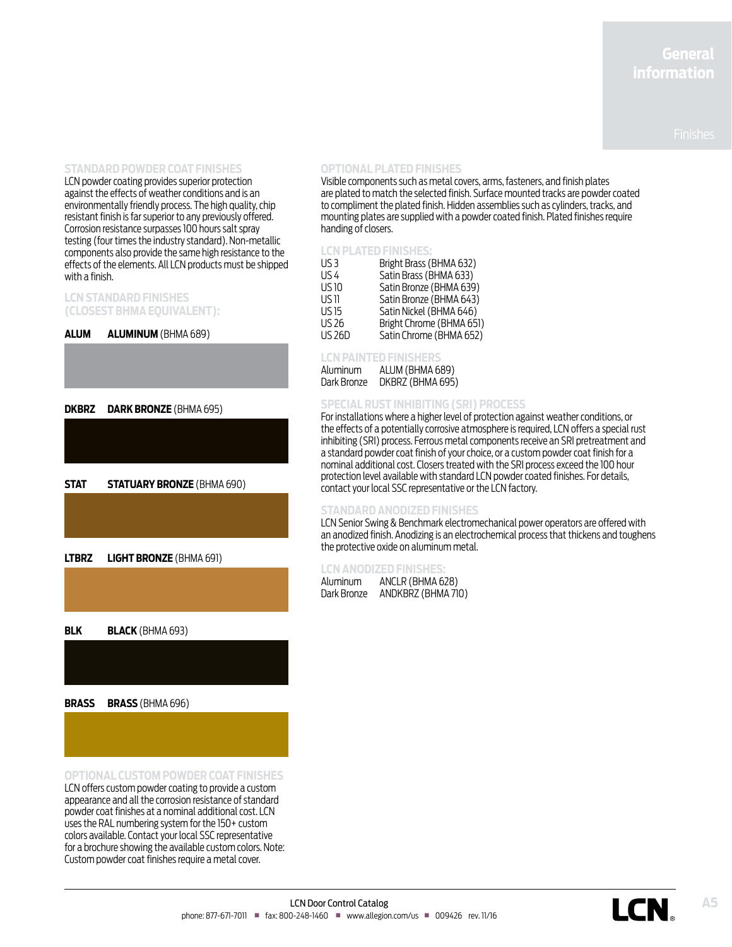# **General information**

# **STANDARD POWDER COAT FINISHES**

LCN powder coating provides superior protection against the effects of weather conditions and is an environmentally friendly process. The high quality, chip resistant finish is far superior to any previously offered. Corrosion resistance surpasses 100 hours salt spray testing (four times the industry standard). Non-metallic components also provide the same high resistance to the effects of the elements. All LCN products must be shipped with a finish.

# **LCN STANDARD FINISHES (CLOSEST BHMA EQUIVALENT):**

# **ALUM ALUMINUM** (BHMA 689)



# **DKBRZ DARK BRONZE** (BHMA 695)



**LTBRZ LIGHT BRONZE** (BHMA 691)

**BLK BLACK** (BHMA 693)

**BRASS BRASS** (BHMA 696)

**OPTIONAL CUSTOM POWDER COAT FINISHES** LCN offers custom powder coating to provide a custom appearance and all the corrosion resistance of standard powder coat finishes at a nominal additional cost. LCN uses the RAL numbering system for the 150+ custom colors available. Contact your local SSC representative for a brochure showing the available custom colors. Note: Custom powder coat finishes require a metal cover.

# **OPTIONAL PLATED FINISHES**

Visible components such as metal covers, arms, fasteners, and finish plates are plated to match the selected finish. Surface mounted tracks are powder coated to compliment the plated finish. Hidden assemblies such as cylinders, tracks, and mounting plates are supplied with a powder coated finish. Plated finishes require handing of closers.

# **LCN PLATED FINISHES:**

| US <sub>3</sub>  | Bright Brass (BHMA 632)  |
|------------------|--------------------------|
| US <sub>4</sub>  | Satin Brass (BHMA 633)   |
| US10             | Satin Bronze (BHMA 639)  |
| US 11            | Satin Bronze (BHMA 643)  |
| US <sub>15</sub> | Satin Nickel (BHMA 646)  |
| <b>US 26</b>     | Bright Chrome (BHMA 651) |
| <b>US 26D</b>    | Satin Chrome (BHMA 652)  |

# **LCN PAINTED FINISHMA6**

ALUM (BHMA 689) Dark Bronze DKBRZ (BHMA 695)

# **SPECIAL RUST INHIBITING (SRI) PROCESS**

For installations where a higher level of protection against weather conditions, or the effects of a potentially corrosive atmosphere is required, LCN offers a special rust inhibiting (SRI) process. Ferrous metal components receive an SRI pretreatment and a standard powder coat finish of your choice, or a custom powder coat finish for a nominal additional cost. Closers treated with the SRI process exceed the 100 hour protection level available with standard LCN powder coated finishes. For details, contact your local SSC representative or the LCN factory.

# **STANDARD ANODIZED FINISHES**

LCN Senior Swing & Benchmark electromechanical power operators are offered with an anodized finish. Anodizing is an electrochemical process that thickens and toughens the protective oxide on aluminum metal.

# **LCN ANODIZED FINISHES:**

| Aluminum    | ANCLR (BHMA 628)   |
|-------------|--------------------|
| Dark Bronze | ANDKBRZ (BHMA 710) |

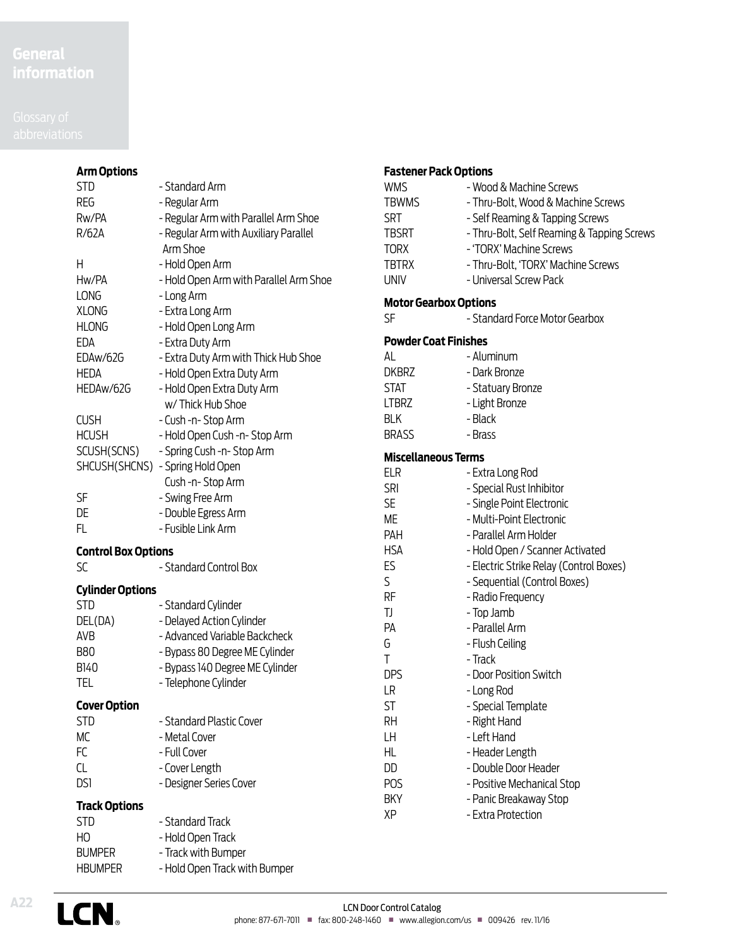# **information**

| <b>Arm Options</b>                    |                                                  |  |  |
|---------------------------------------|--------------------------------------------------|--|--|
| <b>STD</b>                            | - Standard Arm                                   |  |  |
| REG                                   | - Regular Arm                                    |  |  |
| Rw/PA                                 | - Regular Arm with Parallel Arm Shoe             |  |  |
| R/62A                                 | - Regular Arm with Auxiliary Parallel            |  |  |
|                                       | Arm Shoe                                         |  |  |
| н                                     | - Hold Open Arm                                  |  |  |
| Hw/PA                                 | - Hold Open Arm with Parallel Arm Shoe           |  |  |
| LONG                                  | - Long Arm                                       |  |  |
| <b>XLONG</b>                          | - Extra Long Arm                                 |  |  |
| <b>HLONG</b>                          | - Hold Open Long Arm                             |  |  |
| EDA                                   | - Extra Duty Arm                                 |  |  |
| EDAw/62G                              | - Extra Duty Arm with Thick Hub Shoe             |  |  |
| HEDA                                  | - Hold Open Extra Duty Arm                       |  |  |
| HEDAw/62G                             | - Hold Open Extra Duty Arm                       |  |  |
|                                       | w/Thick Hub Shoe                                 |  |  |
| <b>CUSH</b>                           | - Cush -n- Stop Arm                              |  |  |
| <b>HCUSH</b>                          | - Hold Open Cush -n- Stop Arm                    |  |  |
| SCUSH(SCNS)                           | - Spring Cush -n- Stop Arm                       |  |  |
|                                       | SHCUSH(SHCNS) - Spring Hold Open                 |  |  |
|                                       | Cush-n-Stop Arm                                  |  |  |
| SF                                    | - Swing Free Arm                                 |  |  |
| DE                                    | - Double Egress Arm                              |  |  |
| FL.                                   | - Fusible Link Arm                               |  |  |
|                                       | <b>Control Box Options</b>                       |  |  |
| SC                                    | - Standard Control Box                           |  |  |
|                                       |                                                  |  |  |
| <b>Cylinder Options</b><br><b>STD</b> |                                                  |  |  |
| DEL(DA)                               | - Standard Cylinder<br>- Delayed Action Cylinder |  |  |
| AVB                                   | - Advanced Variable Backcheck                    |  |  |
| <b>B80</b>                            | - Bypass 80 Degree ME Cylinder                   |  |  |
| <b>B140</b>                           | - Bypass 140 Degree ME Cylinder                  |  |  |
| <b>TEL</b>                            | - Telephone Cylinder                             |  |  |
|                                       |                                                  |  |  |
| <b>Cover Option</b>                   |                                                  |  |  |
| STD                                   | - Standard Plastic Cover                         |  |  |
| МC                                    | - Metal Cover                                    |  |  |
| FC                                    | - Full Cover                                     |  |  |
| CL                                    | - Cover Length                                   |  |  |
| <b>DS1</b>                            | - Designer Series Cover                          |  |  |
| <b>Track Options</b>                  |                                                  |  |  |
| <b>STD</b>                            | - Standard Track                                 |  |  |
| HO                                    | - Hold Open Track                                |  |  |

# **Fastener Pack Options**

| <b>WMS</b><br><b>TBWMS</b><br>srt<br><b>TBSRT</b><br>TORX<br>TBTRX<br><b>UNIV</b> | - Wood & Machine Screws<br>- Thru-Bolt, Wood & Machine Screws<br>- Self Reaming & Tapping Screws<br>- Thru-Bolt, Self Reaming & Tapping Screws<br>- 'TORX' Machine Screws<br>- Thru-Bolt, 'TORX' Machine Screws<br>- Universal Screw Pack |  |
|-----------------------------------------------------------------------------------|-------------------------------------------------------------------------------------------------------------------------------------------------------------------------------------------------------------------------------------------|--|
| <b>Motor Gearbox Options</b>                                                      |                                                                                                                                                                                                                                           |  |
| SF                                                                                | - Standard Force Motor Gearbox                                                                                                                                                                                                            |  |
| <b>Powder Coat Finishes</b>                                                       |                                                                                                                                                                                                                                           |  |
| AL                                                                                | - Aluminum                                                                                                                                                                                                                                |  |
| dkbrz                                                                             | - Dark Bronze                                                                                                                                                                                                                             |  |
| <b>STAT</b>                                                                       | - Statuary Bronze                                                                                                                                                                                                                         |  |
| LTBRZ                                                                             | - Light Bronze                                                                                                                                                                                                                            |  |
| BLK                                                                               | - Black                                                                                                                                                                                                                                   |  |
| <b>BRASS</b>                                                                      | - Brass                                                                                                                                                                                                                                   |  |
| <b>Miscellaneous Terms</b>                                                        |                                                                                                                                                                                                                                           |  |
| ELR                                                                               | - Extra Long Rod                                                                                                                                                                                                                          |  |
| <b>SRI</b>                                                                        | - Special Rust Inhibitor                                                                                                                                                                                                                  |  |
| SE                                                                                | - Single Point Electronic                                                                                                                                                                                                                 |  |
| МE                                                                                | - Multi-Point Electronic                                                                                                                                                                                                                  |  |
| PAH                                                                               | - Parallel Arm Holder                                                                                                                                                                                                                     |  |
| <b>HSA</b>                                                                        | - Hold Open / Scanner Activated                                                                                                                                                                                                           |  |
| ES                                                                                | - Electric Strike Relay (Control Boxes)                                                                                                                                                                                                   |  |
| S.                                                                                | - Sequential (Control Boxes)                                                                                                                                                                                                              |  |
| RF                                                                                | - Radio Frequency                                                                                                                                                                                                                         |  |
| IJ                                                                                | - Top Jamb                                                                                                                                                                                                                                |  |
| PА                                                                                | - Parallel Arm                                                                                                                                                                                                                            |  |
| G                                                                                 | - Flush Ceiling                                                                                                                                                                                                                           |  |
| Т                                                                                 | - Track                                                                                                                                                                                                                                   |  |
| <b>DPS</b>                                                                        | - Door Position Switch                                                                                                                                                                                                                    |  |
| LR                                                                                | - Long Rod                                                                                                                                                                                                                                |  |
| ST                                                                                | - Special Template                                                                                                                                                                                                                        |  |
| RH                                                                                | - Right Hand                                                                                                                                                                                                                              |  |
| LΗ                                                                                | - Left Hand                                                                                                                                                                                                                               |  |
| HL                                                                                | - Header Length                                                                                                                                                                                                                           |  |
| DD                                                                                | - Double Door Header                                                                                                                                                                                                                      |  |
| POS                                                                               | - Positive Mechanical Stop                                                                                                                                                                                                                |  |
| BKY                                                                               | - Panic Breakaway Stop                                                                                                                                                                                                                    |  |
| ΧP                                                                                | - Extra Protection                                                                                                                                                                                                                        |  |
|                                                                                   |                                                                                                                                                                                                                                           |  |



BUMPER - Track with Bumper

HBUMPER - Hold Open Track with Bumper